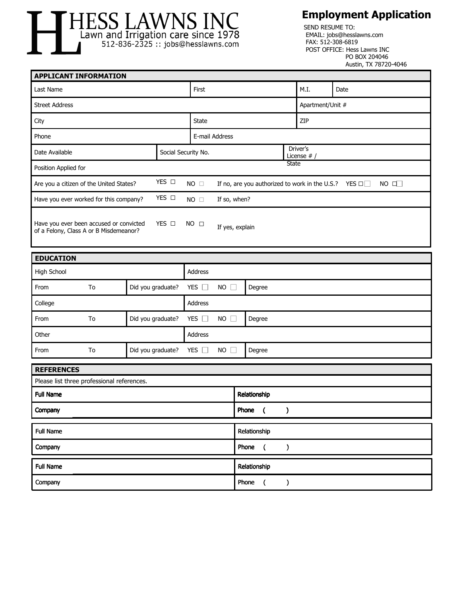

## **Employment Application**

| TILIUU LII AVVI AU IL AU<br>SEND RESUME TO:<br>Lawn and Irrigation care since 1978<br>EMAIL: jobs@hesslawns.com<br>FAX: 512-308-6819<br>512-836-2325 :: jobs@hesslawns.com<br>POST OFFICE: Hess Lawns INC<br>PO BOX 204046<br>Austin, TX 78720-4046 |                         |                   |                     |                                                                           |              |                                          |                                          |                  |      |           |
|-----------------------------------------------------------------------------------------------------------------------------------------------------------------------------------------------------------------------------------------------------|-------------------------|-------------------|---------------------|---------------------------------------------------------------------------|--------------|------------------------------------------|------------------------------------------|------------------|------|-----------|
| <b>APPLICANT INFORMATION</b>                                                                                                                                                                                                                        |                         |                   |                     |                                                                           |              |                                          |                                          |                  |      |           |
| Last Name                                                                                                                                                                                                                                           |                         |                   |                     | First                                                                     |              |                                          |                                          | M.I.             | Date |           |
| <b>Street Address</b>                                                                                                                                                                                                                               |                         |                   |                     |                                                                           |              |                                          |                                          | Apartment/Unit # |      |           |
| City                                                                                                                                                                                                                                                |                         |                   |                     | <b>State</b>                                                              |              |                                          |                                          | ZIP              |      |           |
| Phone                                                                                                                                                                                                                                               |                         |                   |                     | E-mail Address                                                            |              |                                          |                                          |                  |      |           |
| Date Available                                                                                                                                                                                                                                      |                         |                   | Social Security No. |                                                                           |              |                                          | Driver's<br>License $#$                  |                  |      |           |
| Position Applied for                                                                                                                                                                                                                                |                         |                   |                     |                                                                           |              |                                          | State                                    |                  |      |           |
| YES O<br>Are you a citizen of the United States?                                                                                                                                                                                                    |                         |                   |                     | NO $\Box$<br>If no, are you authorized to work in the U.S.? YES $\square$ |              |                                          |                                          |                  |      | $NO \Box$ |
| YES O<br>Have you ever worked for this company?<br>$NO$ $\square$                                                                                                                                                                                   |                         |                   |                     |                                                                           | If so, when? |                                          |                                          |                  |      |           |
| Have you ever been accused or convicted<br>YES O<br>NO <sub>□</sub><br>If yes, explain<br>of a Felony, Class A or B Misdemeanor?                                                                                                                    |                         |                   |                     |                                                                           |              |                                          |                                          |                  |      |           |
| <b>EDUCATION</b>                                                                                                                                                                                                                                    |                         |                   |                     |                                                                           |              |                                          |                                          |                  |      |           |
| High School                                                                                                                                                                                                                                         |                         |                   |                     | Address                                                                   |              |                                          |                                          |                  |      |           |
| From                                                                                                                                                                                                                                                | To<br>Did you graduate? |                   |                     | YES $\square$<br>$NO$ $\Box$<br>Degree                                    |              |                                          |                                          |                  |      |           |
| College                                                                                                                                                                                                                                             |                         |                   | Address             |                                                                           |              |                                          |                                          |                  |      |           |
| From                                                                                                                                                                                                                                                | To<br>Did you graduate? |                   |                     | YES $\square$<br>$NO$ $\Box$                                              |              |                                          | Degree                                   |                  |      |           |
| Other                                                                                                                                                                                                                                               |                         |                   | Address             |                                                                           |              |                                          |                                          |                  |      |           |
| From                                                                                                                                                                                                                                                | To                      | Did you graduate? |                     | YES $\square$<br>$NO$ $\Box$<br>Degree                                    |              |                                          |                                          |                  |      |           |
| <b>REFERENCES</b>                                                                                                                                                                                                                                   |                         |                   |                     |                                                                           |              |                                          |                                          |                  |      |           |
| Please list three professional references.                                                                                                                                                                                                          |                         |                   |                     |                                                                           |              |                                          |                                          |                  |      |           |
| <b>Full Name</b>                                                                                                                                                                                                                                    |                         |                   |                     |                                                                           |              | Relationship                             |                                          |                  |      |           |
| Company                                                                                                                                                                                                                                             |                         |                   |                     |                                                                           | Phone (<br>) |                                          |                                          |                  |      |           |
| <b>Full Name</b>                                                                                                                                                                                                                                    |                         |                   |                     |                                                                           |              |                                          | Relationship                             |                  |      |           |
| Company                                                                                                                                                                                                                                             |                         |                   |                     |                                                                           |              | Phone<br>$\overline{ }$<br>$\mathcal{C}$ |                                          |                  |      |           |
| <b>Full Name</b>                                                                                                                                                                                                                                    |                         |                   |                     |                                                                           |              |                                          | Relationship                             |                  |      |           |
| Company                                                                                                                                                                                                                                             |                         |                   |                     |                                                                           |              |                                          | Phone<br>$\overline{ }$<br>$\mathcal{C}$ |                  |      |           |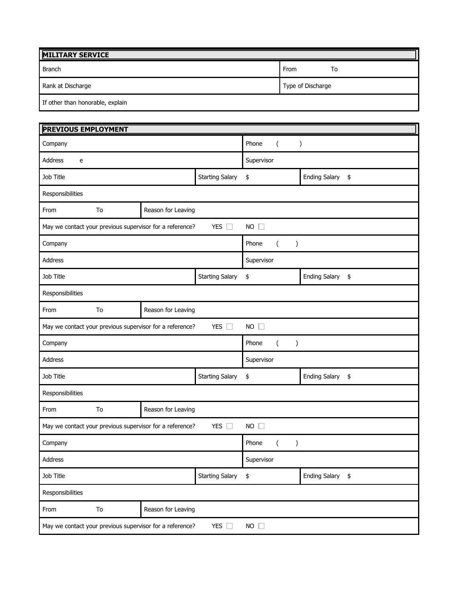| <b>MILITARY SERVICE</b>          |                   |  |  |  |  |
|----------------------------------|-------------------|--|--|--|--|
| Branch                           | From<br>То        |  |  |  |  |
| Rank at Discharge                | Type of Discharge |  |  |  |  |
| If other than honorable, explain |                   |  |  |  |  |

| <b>PREVIOUS EMPLOYMENT</b>                                                               |    |                                                          |                                    |                  |                  |  |  |  |  |  |
|------------------------------------------------------------------------------------------|----|----------------------------------------------------------|------------------------------------|------------------|------------------|--|--|--|--|--|
| Company                                                                                  |    |                                                          | Phone<br>$\left($<br>$\mathcal{E}$ |                  |                  |  |  |  |  |  |
| Address<br>e                                                                             |    |                                                          | Supervisor                         |                  |                  |  |  |  |  |  |
| Job Title                                                                                |    |                                                          | \$                                 | Ending Salary \$ |                  |  |  |  |  |  |
| Responsibilities                                                                         |    |                                                          |                                    |                  |                  |  |  |  |  |  |
| From                                                                                     | To | Reason for Leaving                                       |                                    |                  |                  |  |  |  |  |  |
|                                                                                          |    | May we contact your previous supervisor for a reference? | $NO$ $\Box$                        |                  |                  |  |  |  |  |  |
| Company                                                                                  |    |                                                          | Phone<br>$\left($<br>$\lambda$     |                  |                  |  |  |  |  |  |
| <b>Address</b>                                                                           |    |                                                          | Supervisor                         |                  |                  |  |  |  |  |  |
| Job Title                                                                                |    |                                                          | <b>Starting Salary</b>             | \$               | Ending Salary \$ |  |  |  |  |  |
| Responsibilities                                                                         |    |                                                          |                                    |                  |                  |  |  |  |  |  |
| From                                                                                     | To | Reason for Leaving                                       |                                    |                  |                  |  |  |  |  |  |
| YES $\square$<br>$NO$ $\Box$<br>May we contact your previous supervisor for a reference? |    |                                                          |                                    |                  |                  |  |  |  |  |  |
| Company                                                                                  |    |                                                          | Phone<br>$\left($<br>$\lambda$     |                  |                  |  |  |  |  |  |
| Address                                                                                  |    |                                                          | Supervisor                         |                  |                  |  |  |  |  |  |
| Job Title                                                                                |    |                                                          |                                    | \$               | Ending Salary \$ |  |  |  |  |  |
| Responsibilities                                                                         |    |                                                          |                                    |                  |                  |  |  |  |  |  |
| From                                                                                     | To | Reason for Leaving                                       |                                    |                  |                  |  |  |  |  |  |
| YES $\square$<br>$NO$ $\Box$<br>May we contact your previous supervisor for a reference? |    |                                                          |                                    |                  |                  |  |  |  |  |  |
| Company                                                                                  |    |                                                          | Phone<br>$\lambda$<br>(            |                  |                  |  |  |  |  |  |
| Address                                                                                  |    |                                                          | Supervisor                         |                  |                  |  |  |  |  |  |
| Job Title                                                                                |    |                                                          | <b>Starting Salary</b>             | \$               | Ending Salary \$ |  |  |  |  |  |
| Responsibilities                                                                         |    |                                                          |                                    |                  |                  |  |  |  |  |  |
| From                                                                                     | To | Reason for Leaving                                       |                                    |                  |                  |  |  |  |  |  |
| NO<br>May we contact your previous supervisor for a reference?<br>YES $\square$          |    |                                                          |                                    |                  |                  |  |  |  |  |  |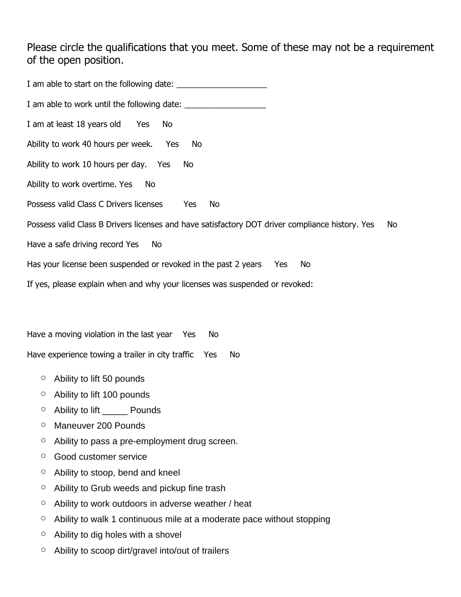Please circle the qualifications that you meet. Some of these may not be a requirement of the open position.

I am able to start on the following date: I am able to work until the following date: \_\_\_\_\_\_\_\_\_\_\_\_\_\_\_\_\_\_ I am at least 18 years old Yes No Ability to work 40 hours per week. Yes No Ability to work 10 hours per day. Yes No Ability to work overtime. Yes No Possess valid Class C Drivers licenses Yes No Possess valid Class B Drivers licenses and have satisfactory DOT driver compliance history. Yes No Have a safe driving record Yes No Has your license been suspended or revoked in the past 2 years Yes No If yes, please explain when and why your licenses was suspended or revoked:

Have a moving violation in the last year Yes No

Have experience towing a trailer in city traffic Yes No

- $\circ$  Ability to lift 50 pounds
- o Ability to lift 100 pounds
- $\circ$  Ability to lift Pounds
- o Maneuver 200 Pounds
- o Ability to pass a pre-employment drug screen.
- o Good customer service
- $\circ$  Ability to stoop, bend and kneel
- $\circ$  Ability to Grub weeds and pickup fine trash
- $\circ$  Ability to work outdoors in adverse weather / heat
- $\circ$  Ability to walk 1 continuous mile at a moderate pace without stopping
- $\circ$  Ability to dig holes with a shovel
- o Ability to scoop dirt/gravel into/out of trailers